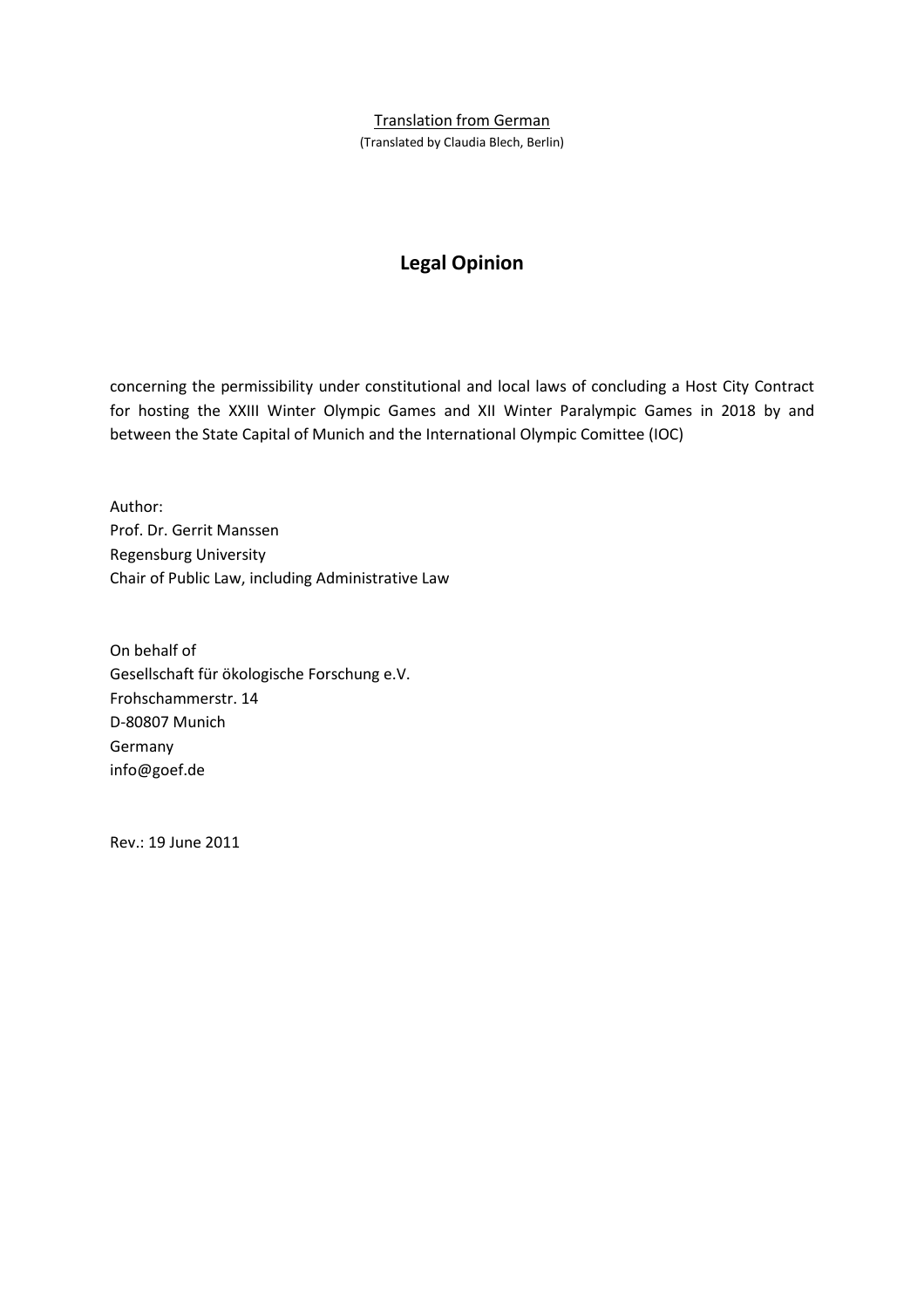#### Translation from German

(Translated by Claudia Blech, Berlin)

# **Legal Opinion**

concerning the permissibility under constitutional and local laws of concluding a Host City Contract for hosting the XXIII Winter Olympic Games and XII Winter Paralympic Games in 2018 by and between the State Capital of Munich and the International Olympic Comittee (IOC)

Author: Prof. Dr. Gerrit Manssen Regensburg University Chair of Public Law, including Administrative Law

On behalf of Gesellschaft für ökologische Forschung e.V. Frohschammerstr. 14 D-80807 Munich Germany info@goef.de

Rev.: 19 June 2011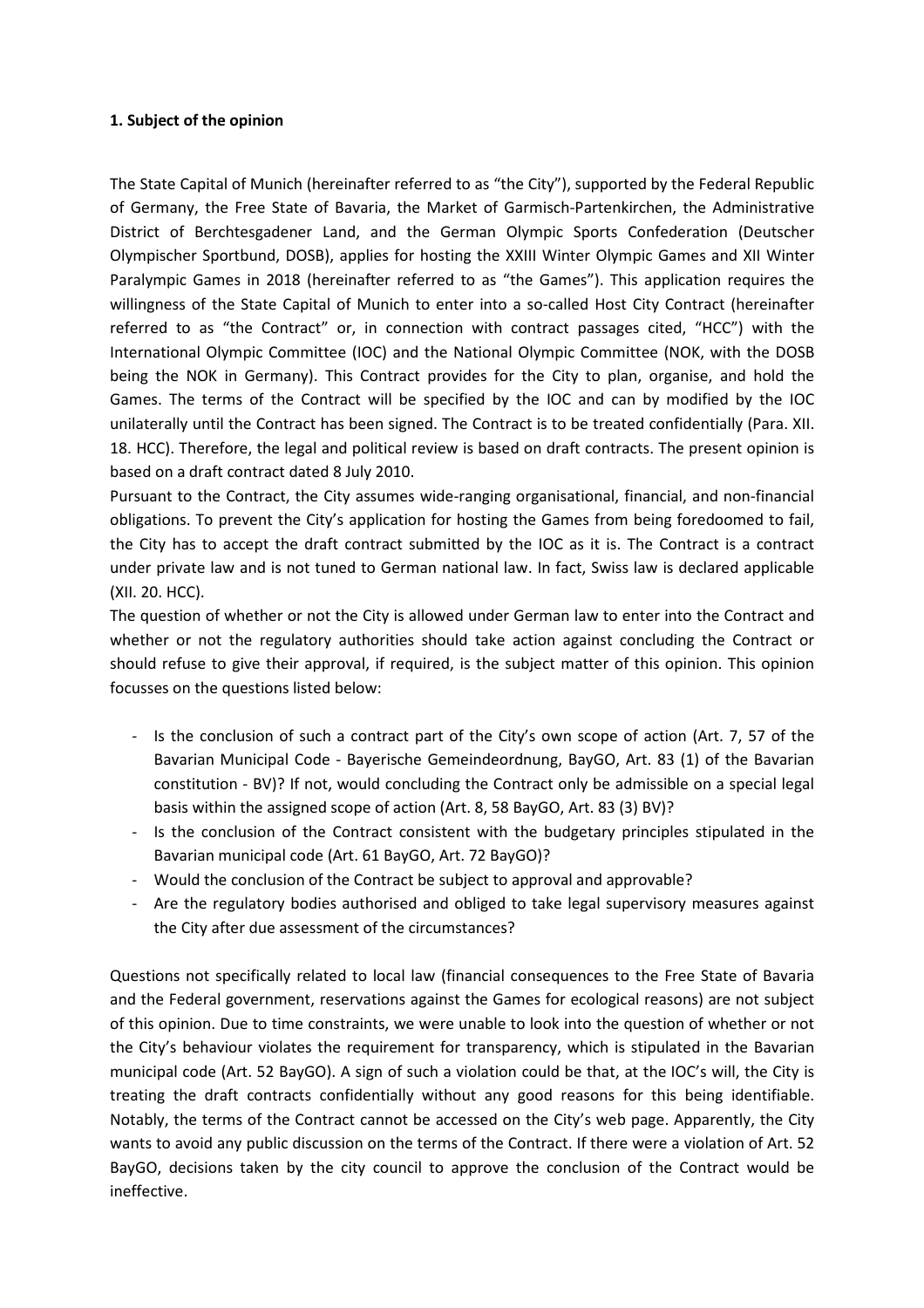### **1. Subject of the opinion**

The State Capital of Munich (hereinafter referred to as "the City"), supported by the Federal Republic of Germany, the Free State of Bavaria, the Market of Garmisch-Partenkirchen, the Administrative District of Berchtesgadener Land, and the German Olympic Sports Confederation (Deutscher Olympischer Sportbund, DOSB), applies for hosting the XXIII Winter Olympic Games and XII Winter Paralympic Games in 2018 (hereinafter referred to as "the Games"). This application requires the willingness of the State Capital of Munich to enter into a so-called Host City Contract (hereinafter referred to as "the Contract" or, in connection with contract passages cited, "HCC") with the International Olympic Committee (IOC) and the National Olympic Committee (NOK, with the DOSB being the NOK in Germany). This Contract provides for the City to plan, organise, and hold the Games. The terms of the Contract will be specified by the IOC and can by modified by the IOC unilaterally until the Contract has been signed. The Contract is to be treated confidentially (Para. XII. 18. HCC). Therefore, the legal and political review is based on draft contracts. The present opinion is based on a draft contract dated 8 July 2010.

Pursuant to the Contract, the City assumes wide-ranging organisational, financial, and non-financial obligations. To prevent the City's application for hosting the Games from being foredoomed to fail, the City has to accept the draft contract submitted by the IOC as it is. The Contract is a contract under private law and is not tuned to German national law. In fact, Swiss law is declared applicable (XII. 20. HCC).

The question of whether or not the City is allowed under German law to enter into the Contract and whether or not the regulatory authorities should take action against concluding the Contract or should refuse to give their approval, if required, is the subject matter of this opinion. This opinion focusses on the questions listed below:

- Is the conclusion of such a contract part of the City's own scope of action (Art. 7, 57 of the Bavarian Municipal Code - Bayerische Gemeindeordnung, BayGO, Art. 83 (1) of the Bavarian constitution - BV)? If not, would concluding the Contract only be admissible on a special legal basis within the assigned scope of action (Art. 8, 58 BayGO, Art. 83 (3) BV)?
- Is the conclusion of the Contract consistent with the budgetary principles stipulated in the Bavarian municipal code (Art. 61 BayGO, Art. 72 BayGO)?
- Would the conclusion of the Contract be subject to approval and approvable?
- Are the regulatory bodies authorised and obliged to take legal supervisory measures against the City after due assessment of the circumstances?

Questions not specifically related to local law (financial consequences to the Free State of Bavaria and the Federal government, reservations against the Games for ecological reasons) are not subject of this opinion. Due to time constraints, we were unable to look into the question of whether or not the City's behaviour violates the requirement for transparency, which is stipulated in the Bavarian municipal code (Art. 52 BayGO). A sign of such a violation could be that, at the IOC's will, the City is treating the draft contracts confidentially without any good reasons for this being identifiable. Notably, the terms of the Contract cannot be accessed on the City's web page. Apparently, the City wants to avoid any public discussion on the terms of the Contract. If there were a violation of Art. 52 BayGO, decisions taken by the city council to approve the conclusion of the Contract would be ineffective.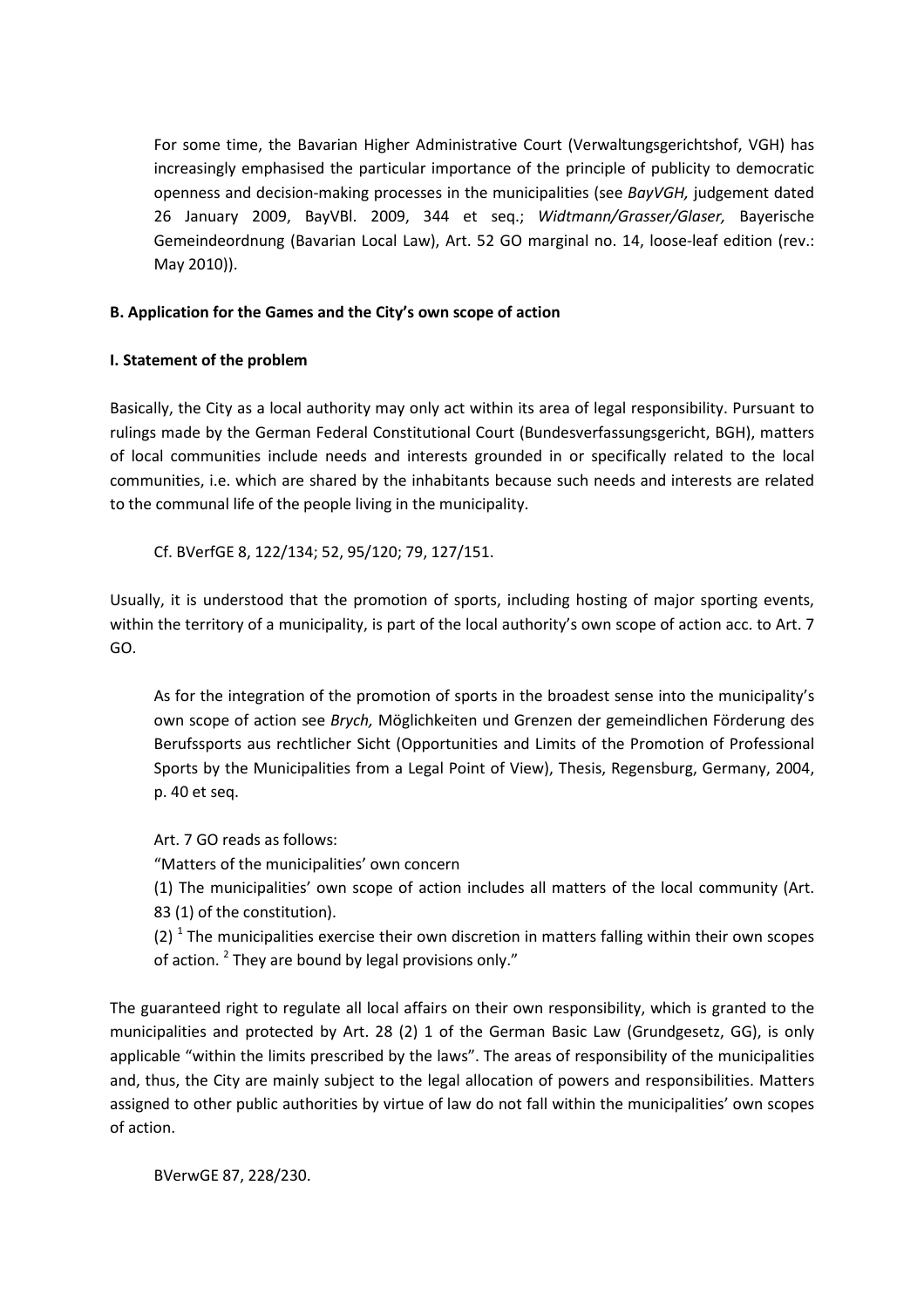For some time, the Bavarian Higher Administrative Court (Verwaltungsgerichtshof, VGH) has increasingly emphasised the particular importance of the principle of publicity to democratic openness and decision-making processes in the municipalities (see *BayVGH,* judgement dated 26 January 2009, BayVBl. 2009, 344 et seq.; *Widtmann/Grasser/Glaser,* Bayerische Gemeindeordnung (Bavarian Local Law), Art. 52 GO marginal no. 14, loose-leaf edition (rev.: May 2010)).

# **B. Application for the Games and the City's own scope of action**

### **I. Statement of the problem**

Basically, the City as a local authority may only act within its area of legal responsibility. Pursuant to rulings made by the German Federal Constitutional Court (Bundesverfassungsgericht, BGH), matters of local communities include needs and interests grounded in or specifically related to the local communities, i.e. which are shared by the inhabitants because such needs and interests are related to the communal life of the people living in the municipality.

Cf. BVerfGE 8, 122/134; 52, 95/120; 79, 127/151.

Usually, it is understood that the promotion of sports, including hosting of major sporting events, within the territory of a municipality, is part of the local authority's own scope of action acc. to Art. 7 GO.

As for the integration of the promotion of sports in the broadest sense into the municipality's own scope of action see *Brych,* Möglichkeiten und Grenzen der gemeindlichen Förderung des Berufssports aus rechtlicher Sicht (Opportunities and Limits of the Promotion of Professional Sports by the Municipalities from a Legal Point of View), Thesis, Regensburg, Germany, 2004, p. 40 et seq.

Art. 7 GO reads as follows:

"Matters of the municipalities' own concern

(1) The municipalities' own scope of action includes all matters of the local community (Art. 83 (1) of the constitution).

(2)  $^1$  The municipalities exercise their own discretion in matters falling within their own scopes of action. <sup>2</sup> They are bound by legal provisions only."

The guaranteed right to regulate all local affairs on their own responsibility, which is granted to the municipalities and protected by Art. 28 (2) 1 of the German Basic Law (Grundgesetz, GG), is only applicable "within the limits prescribed by the laws". The areas of responsibility of the municipalities and, thus, the City are mainly subject to the legal allocation of powers and responsibilities. Matters assigned to other public authorities by virtue of law do not fall within the municipalities' own scopes of action.

BVerwGE 87, 228/230.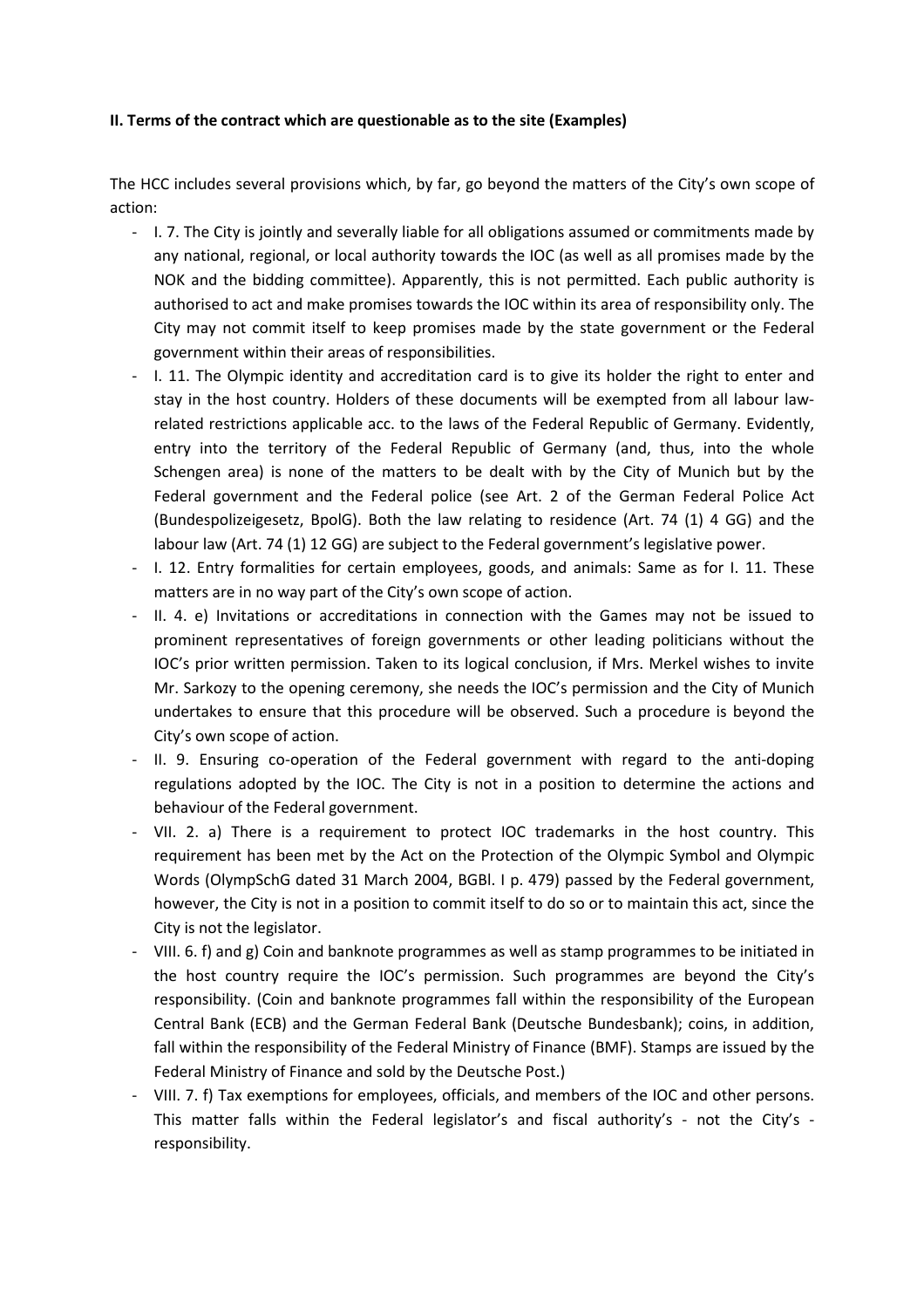#### **II. Terms of the contract which are questionable as to the site (Examples)**

The HCC includes several provisions which, by far, go beyond the matters of the City's own scope of action:

- I. 7. The City is jointly and severally liable for all obligations assumed or commitments made by any national, regional, or local authority towards the IOC (as well as all promises made by the NOK and the bidding committee). Apparently, this is not permitted. Each public authority is authorised to act and make promises towards the IOC within its area of responsibility only. The City may not commit itself to keep promises made by the state government or the Federal government within their areas of responsibilities.
- I. 11. The Olympic identity and accreditation card is to give its holder the right to enter and stay in the host country. Holders of these documents will be exempted from all labour lawrelated restrictions applicable acc. to the laws of the Federal Republic of Germany. Evidently, entry into the territory of the Federal Republic of Germany (and, thus, into the whole Schengen area) is none of the matters to be dealt with by the City of Munich but by the Federal government and the Federal police (see Art. 2 of the German Federal Police Act (Bundespolizeigesetz, BpolG). Both the law relating to residence (Art. 74 (1) 4 GG) and the labour law (Art. 74 (1) 12 GG) are subject to the Federal government's legislative power.
- I. 12. Entry formalities for certain employees, goods, and animals: Same as for I. 11. These matters are in no way part of the City's own scope of action.
- II. 4. e) Invitations or accreditations in connection with the Games may not be issued to prominent representatives of foreign governments or other leading politicians without the IOC's prior written permission. Taken to its logical conclusion, if Mrs. Merkel wishes to invite Mr. Sarkozy to the opening ceremony, she needs the IOC's permission and the City of Munich undertakes to ensure that this procedure will be observed. Such a procedure is beyond the City's own scope of action.
- II. 9. Ensuring co-operation of the Federal government with regard to the anti-doping regulations adopted by the IOC. The City is not in a position to determine the actions and behaviour of the Federal government.
- VII. 2. a) There is a requirement to protect IOC trademarks in the host country. This requirement has been met by the Act on the Protection of the Olympic Symbol and Olympic Words (OlympSchG dated 31 March 2004, BGBl. I p. 479) passed by the Federal government, however, the City is not in a position to commit itself to do so or to maintain this act, since the City is not the legislator.
- VIII. 6. f) and g) Coin and banknote programmes as well as stamp programmes to be initiated in the host country require the IOC's permission. Such programmes are beyond the City's responsibility. (Coin and banknote programmes fall within the responsibility of the European Central Bank (ECB) and the German Federal Bank (Deutsche Bundesbank); coins, in addition, fall within the responsibility of the Federal Ministry of Finance (BMF). Stamps are issued by the Federal Ministry of Finance and sold by the Deutsche Post.)
- VIII. 7. f) Tax exemptions for employees, officials, and members of the IOC and other persons. This matter falls within the Federal legislator's and fiscal authority's - not the City's responsibility.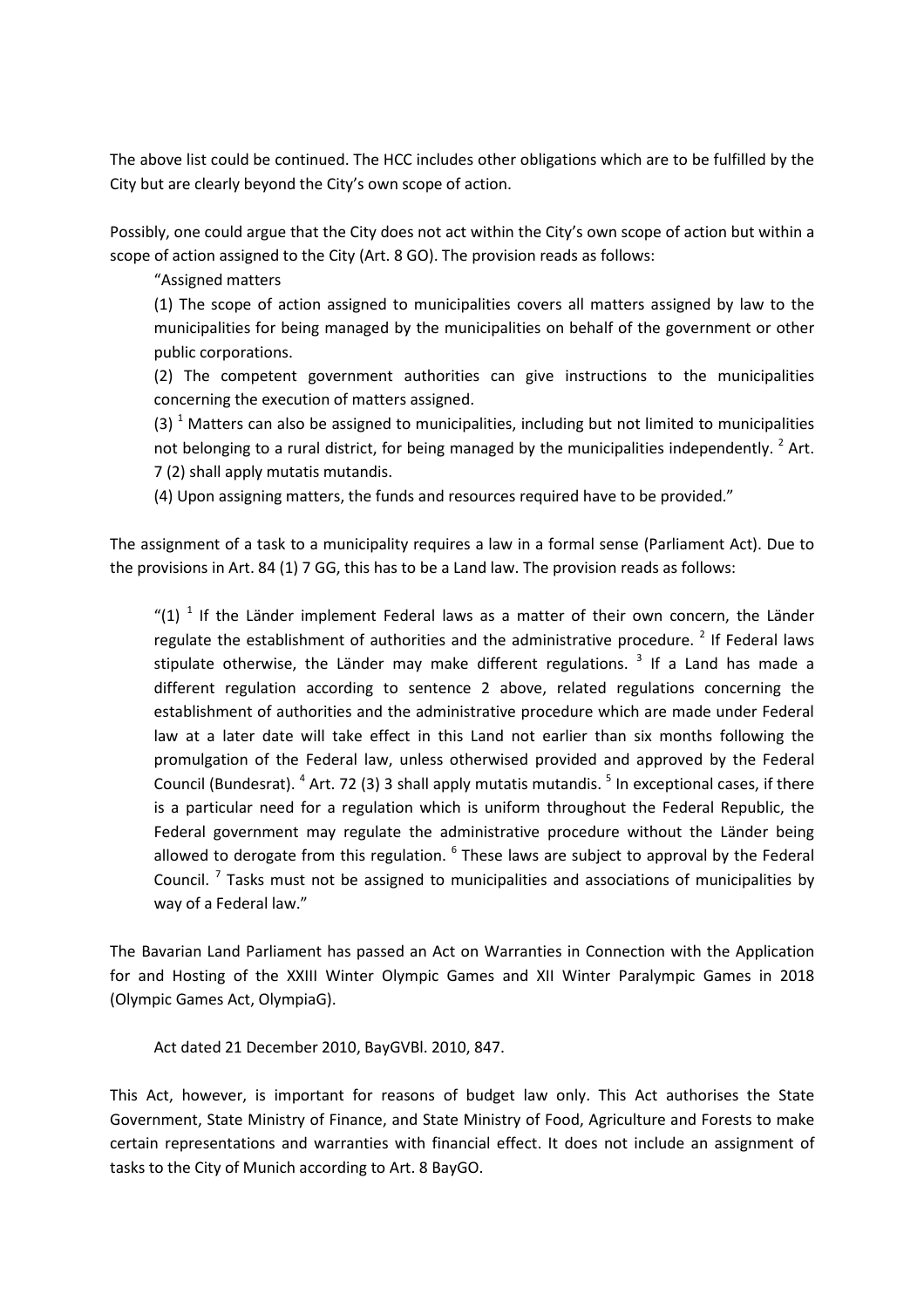The above list could be continued. The HCC includes other obligations which are to be fulfilled by the City but are clearly beyond the City's own scope of action.

Possibly, one could argue that the City does not act within the City's own scope of action but within a scope of action assigned to the City (Art. 8 GO). The provision reads as follows:

"Assigned matters

(1) The scope of action assigned to municipalities covers all matters assigned by law to the municipalities for being managed by the municipalities on behalf of the government or other public corporations.

(2) The competent government authorities can give instructions to the municipalities concerning the execution of matters assigned.

(3)  $<sup>1</sup>$  Matters can also be assigned to municipalities, including but not limited to municipalities</sup> not belonging to a rural district, for being managed by the municipalities independently.  $^{2}$  Art. 7 (2) shall apply mutatis mutandis.

(4) Upon assigning matters, the funds and resources required have to be provided."

The assignment of a task to a municipality requires a law in a formal sense (Parliament Act). Due to the provisions in Art. 84 (1) 7 GG, this has to be a Land law. The provision reads as follows:

"(1)  $<sup>1</sup>$  If the Länder implement Federal laws as a matter of their own concern, the Länder</sup> regulate the establishment of authorities and the administrative procedure.<sup>2</sup> If Federal laws stipulate otherwise, the Länder may make different regulations. <sup>3</sup> If a Land has made a different regulation according to sentence 2 above, related regulations concerning the establishment of authorities and the administrative procedure which are made under Federal law at a later date will take effect in this Land not earlier than six months following the promulgation of the Federal law, unless otherwised provided and approved by the Federal Council (Bundesrat). <sup>4</sup> Art. 72 (3) 3 shall apply mutatis mutandis. <sup>5</sup> In exceptional cases, if there is a particular need for a regulation which is uniform throughout the Federal Republic, the Federal government may regulate the administrative procedure without the Länder being allowed to derogate from this regulation.  $^6$  These laws are subject to approval by the Federal Council.<sup>7</sup> Tasks must not be assigned to municipalities and associations of municipalities by way of a Federal law."

The Bavarian Land Parliament has passed an Act on Warranties in Connection with the Application for and Hosting of the XXIII Winter Olympic Games and XII Winter Paralympic Games in 2018 (Olympic Games Act, OlympiaG).

Act dated 21 December 2010, BayGVBl. 2010, 847.

This Act, however, is important for reasons of budget law only. This Act authorises the State Government, State Ministry of Finance, and State Ministry of Food, Agriculture and Forests to make certain representations and warranties with financial effect. It does not include an assignment of tasks to the City of Munich according to Art. 8 BayGO.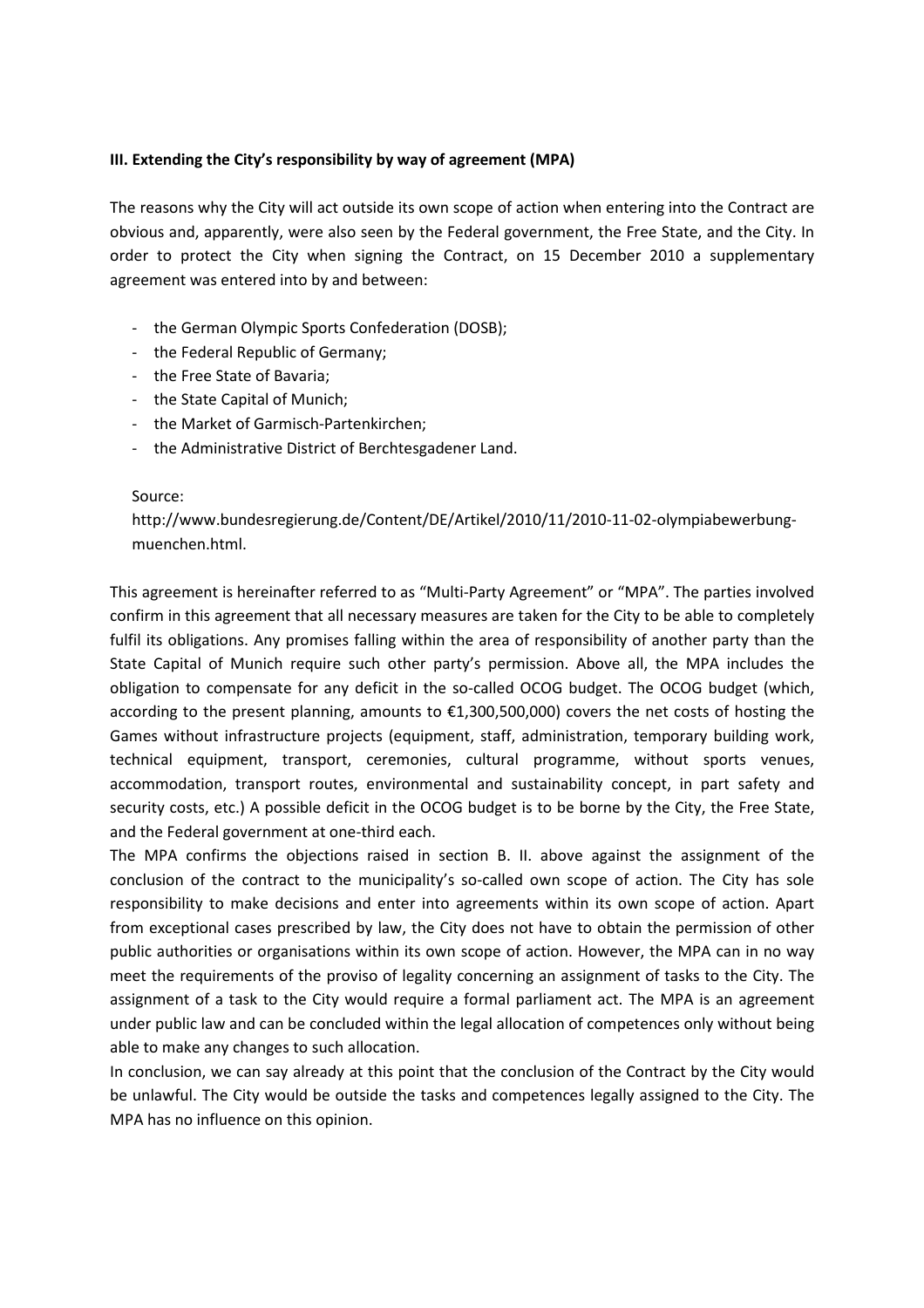### **III. Extending the City's responsibility by way of agreement (MPA)**

The reasons why the City will act outside its own scope of action when entering into the Contract are obvious and, apparently, were also seen by the Federal government, the Free State, and the City. In order to protect the City when signing the Contract, on 15 December 2010 a supplementary agreement was entered into by and between:

- the German Olympic Sports Confederation (DOSB);
- the Federal Republic of Germany;
- the Free State of Bavaria;
- the State Capital of Munich;
- the Market of Garmisch-Partenkirchen;
- the Administrative District of Berchtesgadener Land.

#### Source:

http://www.bundesregierung.de/Content/DE/Artikel/2010/11/2010-11-02-olympiabewerbungmuenchen.html.

This agreement is hereinafter referred to as "Multi-Party Agreement" or "MPA". The parties involved confirm in this agreement that all necessary measures are taken for the City to be able to completely fulfil its obligations. Any promises falling within the area of responsibility of another party than the State Capital of Munich require such other party's permission. Above all, the MPA includes the obligation to compensate for any deficit in the so-called OCOG budget. The OCOG budget (which, according to the present planning, amounts to €1,300,500,000) covers the net costs of hosting the Games without infrastructure projects (equipment, staff, administration, temporary building work, technical equipment, transport, ceremonies, cultural programme, without sports venues, accommodation, transport routes, environmental and sustainability concept, in part safety and security costs, etc.) A possible deficit in the OCOG budget is to be borne by the City, the Free State, and the Federal government at one-third each.

The MPA confirms the objections raised in section B. II. above against the assignment of the conclusion of the contract to the municipality's so-called own scope of action. The City has sole responsibility to make decisions and enter into agreements within its own scope of action. Apart from exceptional cases prescribed by law, the City does not have to obtain the permission of other public authorities or organisations within its own scope of action. However, the MPA can in no way meet the requirements of the proviso of legality concerning an assignment of tasks to the City. The assignment of a task to the City would require a formal parliament act. The MPA is an agreement under public law and can be concluded within the legal allocation of competences only without being able to make any changes to such allocation.

In conclusion, we can say already at this point that the conclusion of the Contract by the City would be unlawful. The City would be outside the tasks and competences legally assigned to the City. The MPA has no influence on this opinion.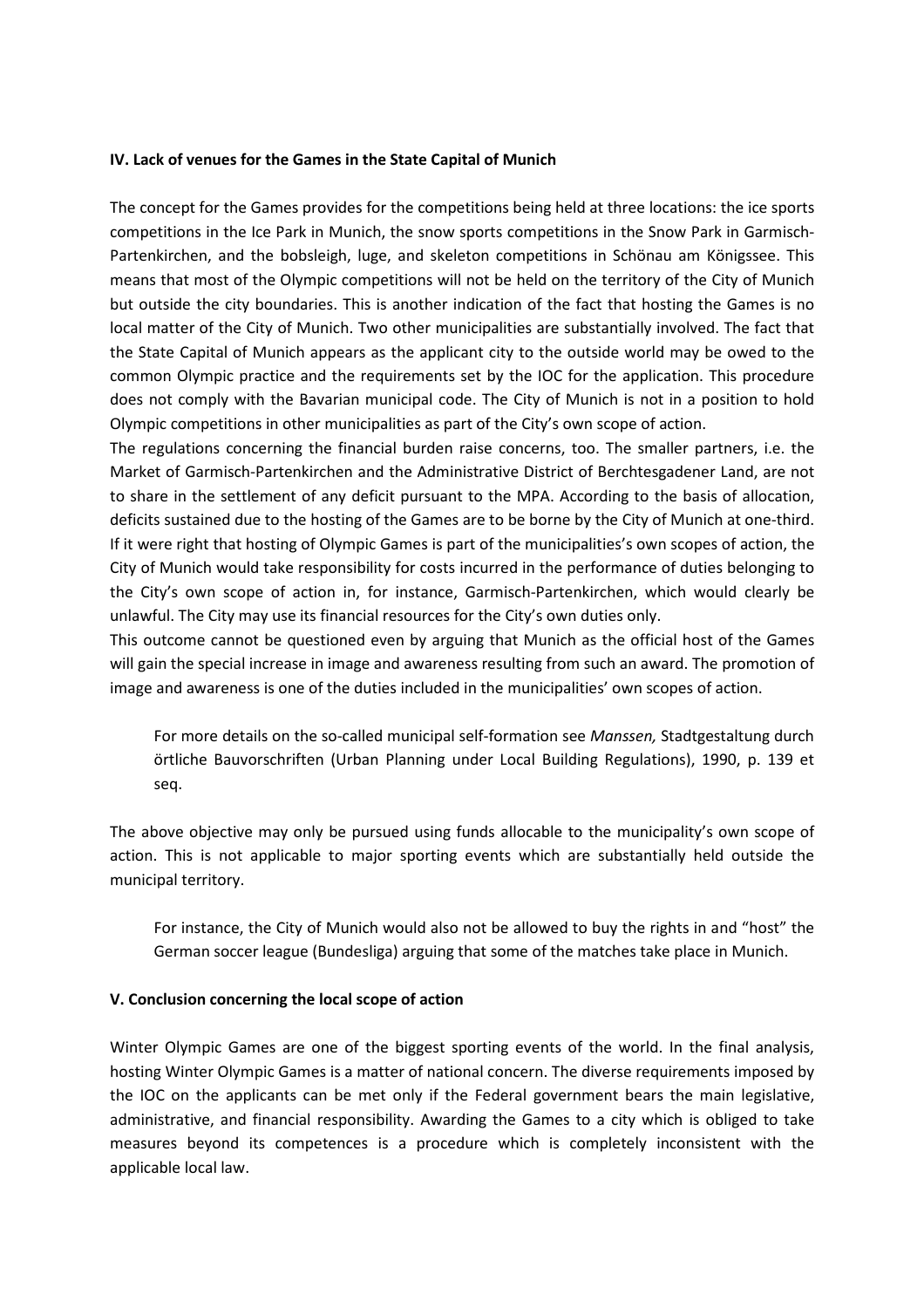#### **IV. Lack of venues for the Games in the State Capital of Munich**

The concept for the Games provides for the competitions being held at three locations: the ice sports competitions in the Ice Park in Munich, the snow sports competitions in the Snow Park in Garmisch-Partenkirchen, and the bobsleigh, luge, and skeleton competitions in Schönau am Königssee. This means that most of the Olympic competitions will not be held on the territory of the City of Munich but outside the city boundaries. This is another indication of the fact that hosting the Games is no local matter of the City of Munich. Two other municipalities are substantially involved. The fact that the State Capital of Munich appears as the applicant city to the outside world may be owed to the common Olympic practice and the requirements set by the IOC for the application. This procedure does not comply with the Bavarian municipal code. The City of Munich is not in a position to hold Olympic competitions in other municipalities as part of the City's own scope of action.

The regulations concerning the financial burden raise concerns, too. The smaller partners, i.e. the Market of Garmisch-Partenkirchen and the Administrative District of Berchtesgadener Land, are not to share in the settlement of any deficit pursuant to the MPA. According to the basis of allocation, deficits sustained due to the hosting of the Games are to be borne by the City of Munich at one-third. If it were right that hosting of Olympic Games is part of the municipalities's own scopes of action, the City of Munich would take responsibility for costs incurred in the performance of duties belonging to the City's own scope of action in, for instance, Garmisch-Partenkirchen, which would clearly be unlawful. The City may use its financial resources for the City's own duties only.

This outcome cannot be questioned even by arguing that Munich as the official host of the Games will gain the special increase in image and awareness resulting from such an award. The promotion of image and awareness is one of the duties included in the municipalities' own scopes of action.

For more details on the so-called municipal self-formation see *Manssen,* Stadtgestaltung durch örtliche Bauvorschriften (Urban Planning under Local Building Regulations), 1990, p. 139 et seq.

The above objective may only be pursued using funds allocable to the municipality's own scope of action. This is not applicable to major sporting events which are substantially held outside the municipal territory.

For instance, the City of Munich would also not be allowed to buy the rights in and "host" the German soccer league (Bundesliga) arguing that some of the matches take place in Munich.

#### **V. Conclusion concerning the local scope of action**

Winter Olympic Games are one of the biggest sporting events of the world. In the final analysis, hosting Winter Olympic Games is a matter of national concern. The diverse requirements imposed by the IOC on the applicants can be met only if the Federal government bears the main legislative, administrative, and financial responsibility. Awarding the Games to a city which is obliged to take measures beyond its competences is a procedure which is completely inconsistent with the applicable local law.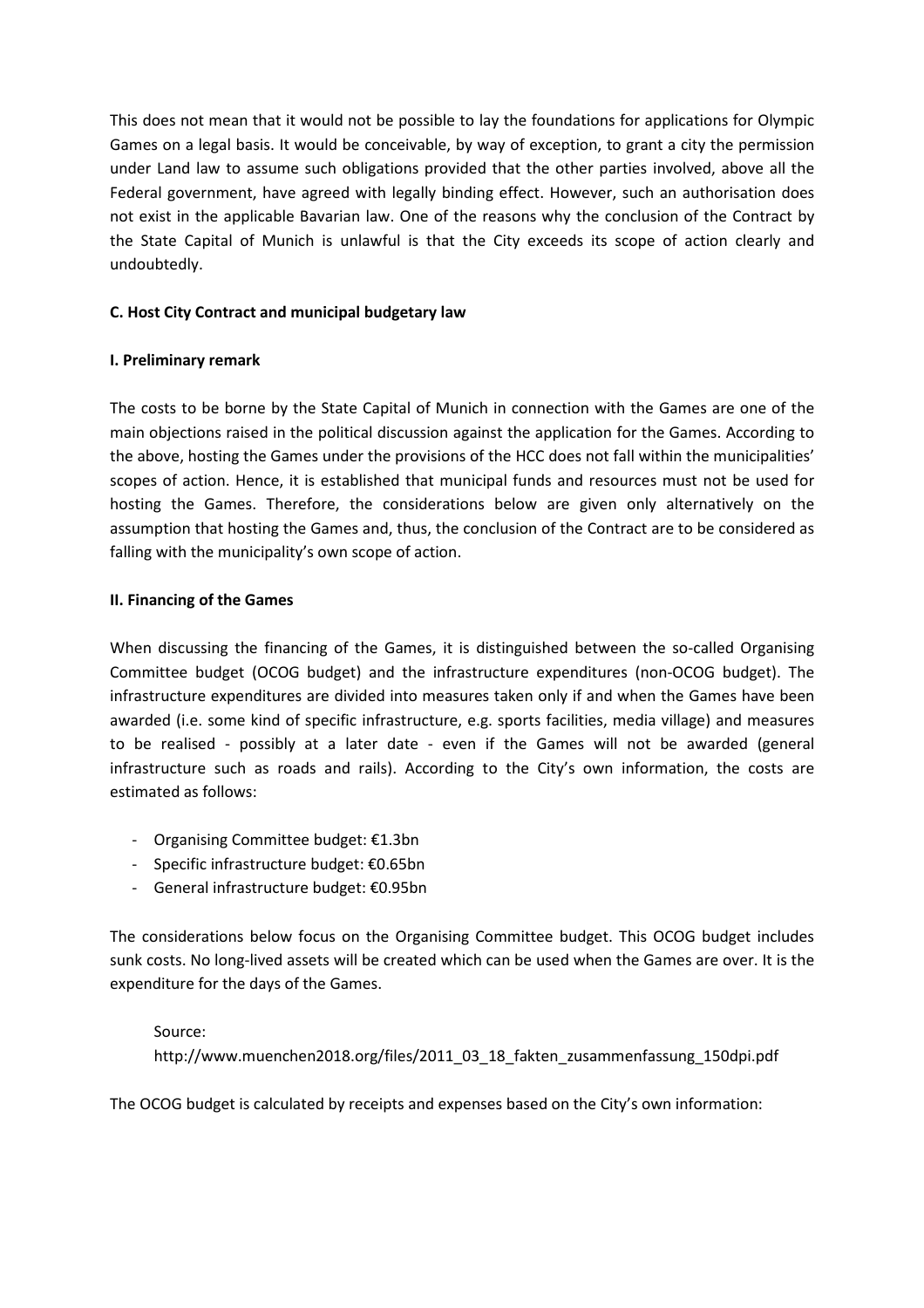This does not mean that it would not be possible to lay the foundations for applications for Olympic Games on a legal basis. It would be conceivable, by way of exception, to grant a city the permission under Land law to assume such obligations provided that the other parties involved, above all the Federal government, have agreed with legally binding effect. However, such an authorisation does not exist in the applicable Bavarian law. One of the reasons why the conclusion of the Contract by the State Capital of Munich is unlawful is that the City exceeds its scope of action clearly and undoubtedly.

# **C. Host City Contract and municipal budgetary law**

### **I. Preliminary remark**

The costs to be borne by the State Capital of Munich in connection with the Games are one of the main objections raised in the political discussion against the application for the Games. According to the above, hosting the Games under the provisions of the HCC does not fall within the municipalities' scopes of action. Hence, it is established that municipal funds and resources must not be used for hosting the Games. Therefore, the considerations below are given only alternatively on the assumption that hosting the Games and, thus, the conclusion of the Contract are to be considered as falling with the municipality's own scope of action.

### **II. Financing of the Games**

When discussing the financing of the Games, it is distinguished between the so-called Organising Committee budget (OCOG budget) and the infrastructure expenditures (non-OCOG budget). The infrastructure expenditures are divided into measures taken only if and when the Games have been awarded (i.e. some kind of specific infrastructure, e.g. sports facilities, media village) and measures to be realised - possibly at a later date - even if the Games will not be awarded (general infrastructure such as roads and rails). According to the City's own information, the costs are estimated as follows:

- Organising Committee budget: €1.3bn
- Specific infrastructure budget: €0.65bn
- General infrastructure budget: €0.95bn

The considerations below focus on the Organising Committee budget. This OCOG budget includes sunk costs. No long-lived assets will be created which can be used when the Games are over. It is the expenditure for the days of the Games.

### Source:

http://www.muenchen2018.org/files/2011\_03\_18\_fakten\_zusammenfassung\_150dpi.pdf

The OCOG budget is calculated by receipts and expenses based on the City's own information: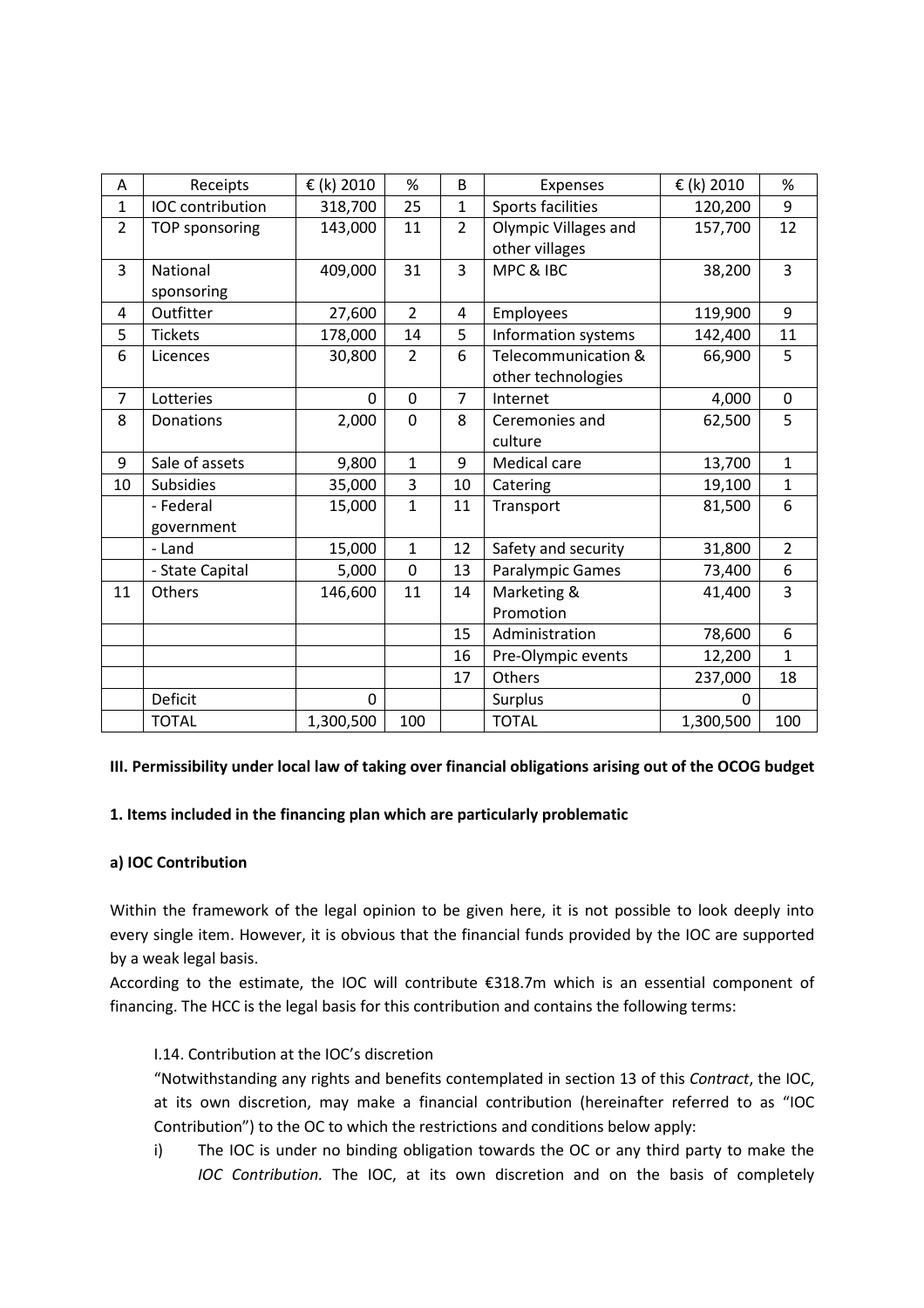| А              | Receipts              | € (k) 2010  | %              | B              | Expenses             | € (k) 2010 | %              |
|----------------|-----------------------|-------------|----------------|----------------|----------------------|------------|----------------|
| $\mathbf{1}$   | IOC contribution      | 318,700     | 25             | $\mathbf{1}$   | Sports facilities    | 120,200    | 9              |
| $\overline{2}$ | <b>TOP sponsoring</b> | 143,000     | 11             | $\overline{2}$ | Olympic Villages and | 157,700    | 12             |
|                |                       |             |                |                | other villages       |            |                |
| 3              | National              | 409,000     | 31             | $\overline{3}$ | MPC & IBC            | 38,200     | $\overline{3}$ |
|                | sponsoring            |             |                |                |                      |            |                |
| 4              | Outfitter             | 27,600      | $\overline{2}$ | 4              | Employees            | 119,900    | 9              |
| 5              | <b>Tickets</b>        | 178,000     | 14             | 5              | Information systems  | 142,400    | 11             |
| 6              | Licences              | 30,800      | $\overline{2}$ | 6              | Telecommunication &  | 66,900     | 5              |
|                |                       |             |                |                | other technologies   |            |                |
| $\overline{7}$ | Lotteries             | $\mathbf 0$ | $\mathbf 0$    | $\overline{7}$ | Internet             | 4,000      | $\pmb{0}$      |
| 8              | Donations             | 2,000       | 0              | 8              | Ceremonies and       | 62,500     | 5              |
|                |                       |             |                |                | culture              |            |                |
| 9              | Sale of assets        | 9,800       | $\mathbf{1}$   | 9              | Medical care         | 13,700     | $\mathbf{1}$   |
| 10             | <b>Subsidies</b>      | 35,000      | 3              | 10             | Catering             | 19,100     | $\mathbf{1}$   |
|                | - Federal             | 15,000      | $\mathbf{1}$   | 11             | Transport            | 81,500     | 6              |
|                | government            |             |                |                |                      |            |                |
|                | - Land                | 15,000      | $\mathbf{1}$   | 12             | Safety and security  | 31,800     | $\overline{2}$ |
|                | - State Capital       | 5,000       | $\mathbf 0$    | 13             | Paralympic Games     | 73,400     | 6              |
| 11             | Others                | 146,600     | 11             | 14             | Marketing &          | 41,400     | 3              |
|                |                       |             |                |                | Promotion            |            |                |
|                |                       |             |                | 15             | Administration       | 78,600     | 6              |
|                |                       |             |                | 16             | Pre-Olympic events   | 12,200     | $\mathbf{1}$   |
|                |                       |             |                | 17             | Others               | 237,000    | 18             |
|                | Deficit               | 0           |                |                | Surplus              | 0          |                |
|                | <b>TOTAL</b>          | 1,300,500   | 100            |                | <b>TOTAL</b>         | 1,300,500  | 100            |

#### **III. Permissibility under local law of taking over financial obligations arising out of the OCOG budget**

### **1. Items included in the financing plan which are particularly problematic**

#### **a) IOC Contribution**

Within the framework of the legal opinion to be given here, it is not possible to look deeply into every single item. However, it is obvious that the financial funds provided by the IOC are supported by a weak legal basis.

According to the estimate, the IOC will contribute €318.7m which is an essential component of financing. The HCC is the legal basis for this contribution and contains the following terms:

### I.14. Contribution at the IOC's discretion

"Notwithstanding any rights and benefits contemplated in section 13 of this *Contract*, the IOC, at its own discretion, may make a financial contribution (hereinafter referred to as "IOC Contribution") to the OC to which the restrictions and conditions below apply:

i) The IOC is under no binding obligation towards the OC or any third party to make the *IOC Contribution.* The IOC, at its own discretion and on the basis of completely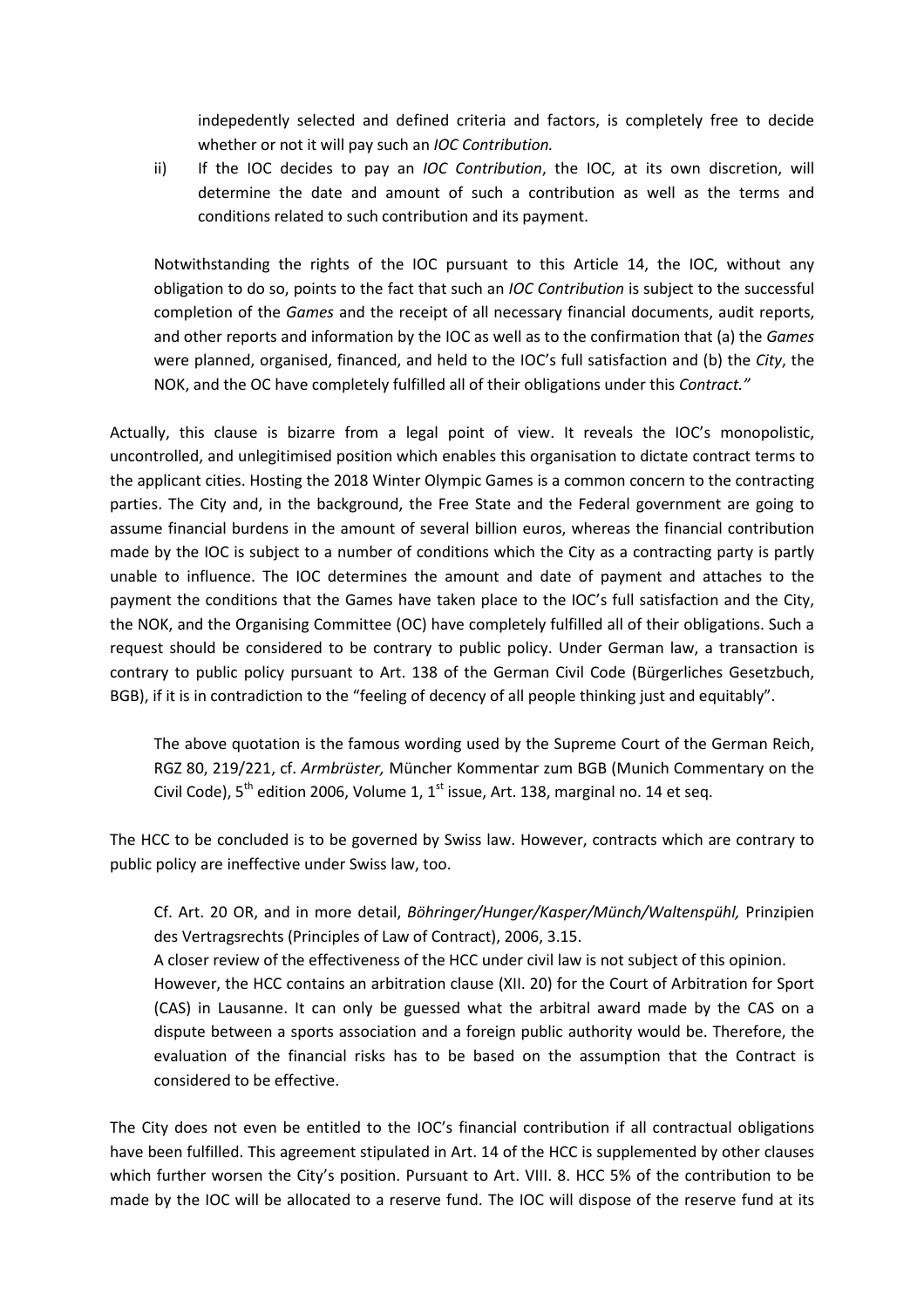indepedently selected and defined criteria and factors, is completely free to decide whether or not it will pay such an *IOC Contribution.*

ii) If the IOC decides to pay an *IOC Contribution*, the IOC, at its own discretion, will determine the date and amount of such a contribution as well as the terms and conditions related to such contribution and its payment.

Notwithstanding the rights of the IOC pursuant to this Article 14, the IOC, without any obligation to do so, points to the fact that such an *IOC Contribution* is subject to the successful completion of the *Games* and the receipt of all necessary financial documents, audit reports, and other reports and information by the IOC as well as to the confirmation that (a) the *Games* were planned, organised, financed, and held to the IOC's full satisfaction and (b) the *City*, the NOK, and the OC have completely fulfilled all of their obligations under this *Contract."*

Actually, this clause is bizarre from a legal point of view. It reveals the IOC's monopolistic, uncontrolled, and unlegitimised position which enables this organisation to dictate contract terms to the applicant cities. Hosting the 2018 Winter Olympic Games is a common concern to the contracting parties. The City and, in the background, the Free State and the Federal government are going to assume financial burdens in the amount of several billion euros, whereas the financial contribution made by the IOC is subject to a number of conditions which the City as a contracting party is partly unable to influence. The IOC determines the amount and date of payment and attaches to the payment the conditions that the Games have taken place to the IOC's full satisfaction and the City, the NOK, and the Organising Committee (OC) have completely fulfilled all of their obligations. Such a request should be considered to be contrary to public policy. Under German law, a transaction is contrary to public policy pursuant to Art. 138 of the German Civil Code (Bürgerliches Gesetzbuch, BGB), if it is in contradiction to the "feeling of decency of all people thinking just and equitably".

The above quotation is the famous wording used by the Supreme Court of the German Reich, RGZ 80, 219/221, cf. *Armbrüster,* Müncher Kommentar zum BGB (Munich Commentary on the Civil Code),  $5<sup>th</sup>$  edition 2006, Volume 1,  $1<sup>st</sup>$  issue, Art. 138, marginal no. 14 et seg.

The HCC to be concluded is to be governed by Swiss law. However, contracts which are contrary to public policy are ineffective under Swiss law, too.

Cf. Art. 20 OR, and in more detail, *Böhringer/Hunger/Kasper/Münch/Waltenspühl,* Prinzipien des Vertragsrechts (Principles of Law of Contract), 2006, 3.15. A closer review of the effectiveness of the HCC under civil law is not subject of this opinion. However, the HCC contains an arbitration clause (XII. 20) for the Court of Arbitration for Sport (CAS) in Lausanne. It can only be guessed what the arbitral award made by the CAS on a dispute between a sports association and a foreign public authority would be. Therefore, the evaluation of the financial risks has to be based on the assumption that the Contract is considered to be effective.

The City does not even be entitled to the IOC's financial contribution if all contractual obligations have been fulfilled. This agreement stipulated in Art. 14 of the HCC is supplemented by other clauses which further worsen the City's position. Pursuant to Art. VIII. 8. HCC 5% of the contribution to be made by the IOC will be allocated to a reserve fund. The IOC will dispose of the reserve fund at its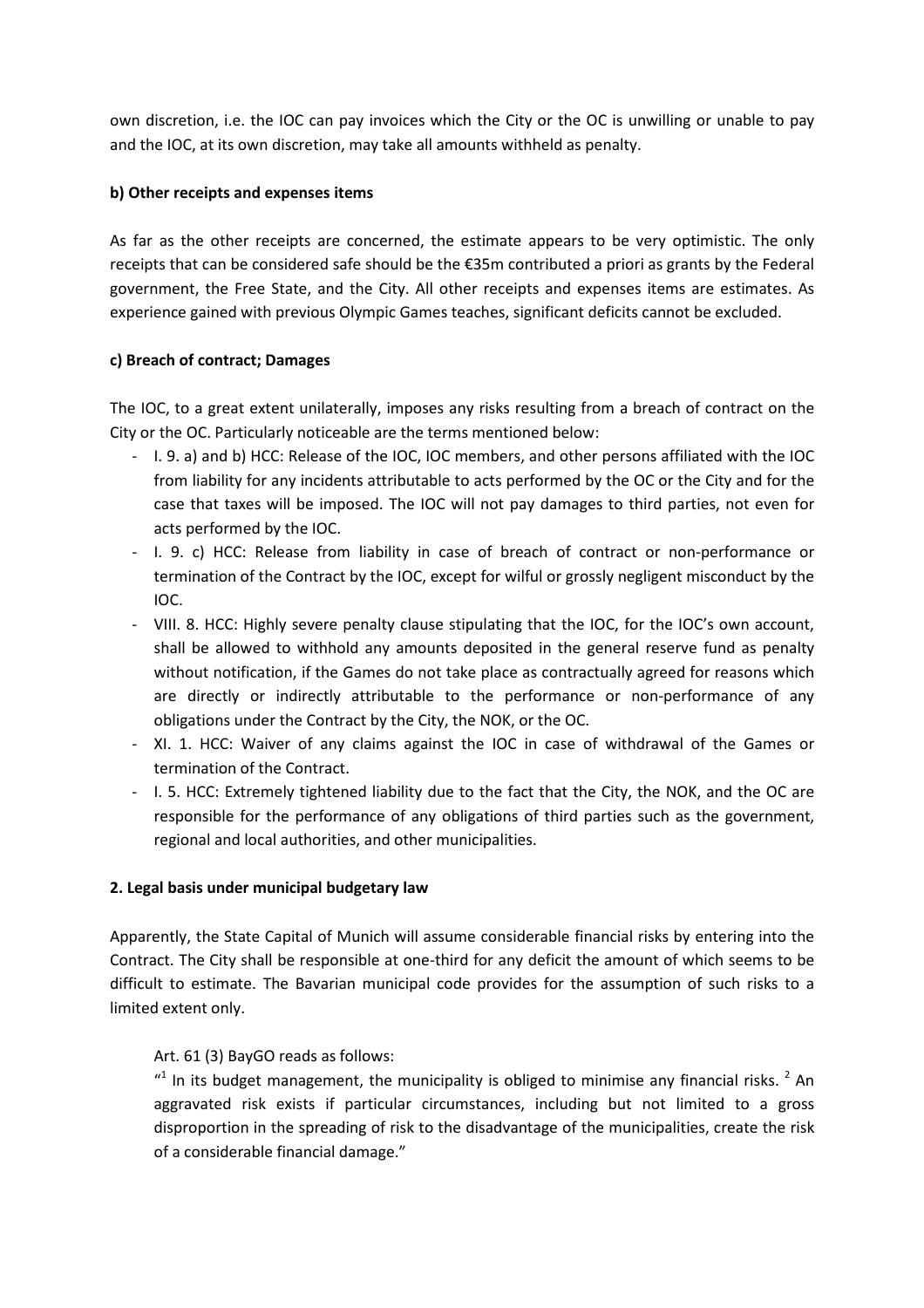own discretion, i.e. the IOC can pay invoices which the City or the OC is unwilling or unable to pay and the IOC, at its own discretion, may take all amounts withheld as penalty.

### **b) Other receipts and expenses items**

As far as the other receipts are concerned, the estimate appears to be very optimistic. The only receipts that can be considered safe should be the €35m contributed a priori as grants by the Federal government, the Free State, and the City. All other receipts and expenses items are estimates. As experience gained with previous Olympic Games teaches, significant deficits cannot be excluded.

### **c) Breach of contract; Damages**

The IOC, to a great extent unilaterally, imposes any risks resulting from a breach of contract on the City or the OC. Particularly noticeable are the terms mentioned below:

- I. 9. a) and b) HCC: Release of the IOC, IOC members, and other persons affiliated with the IOC from liability for any incidents attributable to acts performed by the OC or the City and for the case that taxes will be imposed. The IOC will not pay damages to third parties, not even for acts performed by the IOC.
- I. 9. c) HCC: Release from liability in case of breach of contract or non-performance or termination of the Contract by the IOC, except for wilful or grossly negligent misconduct by the IOC.
- VIII. 8. HCC: Highly severe penalty clause stipulating that the IOC, for the IOC's own account, shall be allowed to withhold any amounts deposited in the general reserve fund as penalty without notification, if the Games do not take place as contractually agreed for reasons which are directly or indirectly attributable to the performance or non-performance of any obligations under the Contract by the City, the NOK, or the OC.
- XI. 1. HCC: Waiver of any claims against the IOC in case of withdrawal of the Games or termination of the Contract.
- I. 5. HCC: Extremely tightened liability due to the fact that the City, the NOK, and the OC are responsible for the performance of any obligations of third parties such as the government, regional and local authorities, and other municipalities.

### **2. Legal basis under municipal budgetary law**

Apparently, the State Capital of Munich will assume considerable financial risks by entering into the Contract. The City shall be responsible at one-third for any deficit the amount of which seems to be difficult to estimate. The Bavarian municipal code provides for the assumption of such risks to a limited extent only.

### Art. 61 (3) BayGO reads as follows:

 $1$ <sup>1</sup> In its budget management, the municipality is obliged to minimise any financial risks.<sup>2</sup> An aggravated risk exists if particular circumstances, including but not limited to a gross disproportion in the spreading of risk to the disadvantage of the municipalities, create the risk of a considerable financial damage."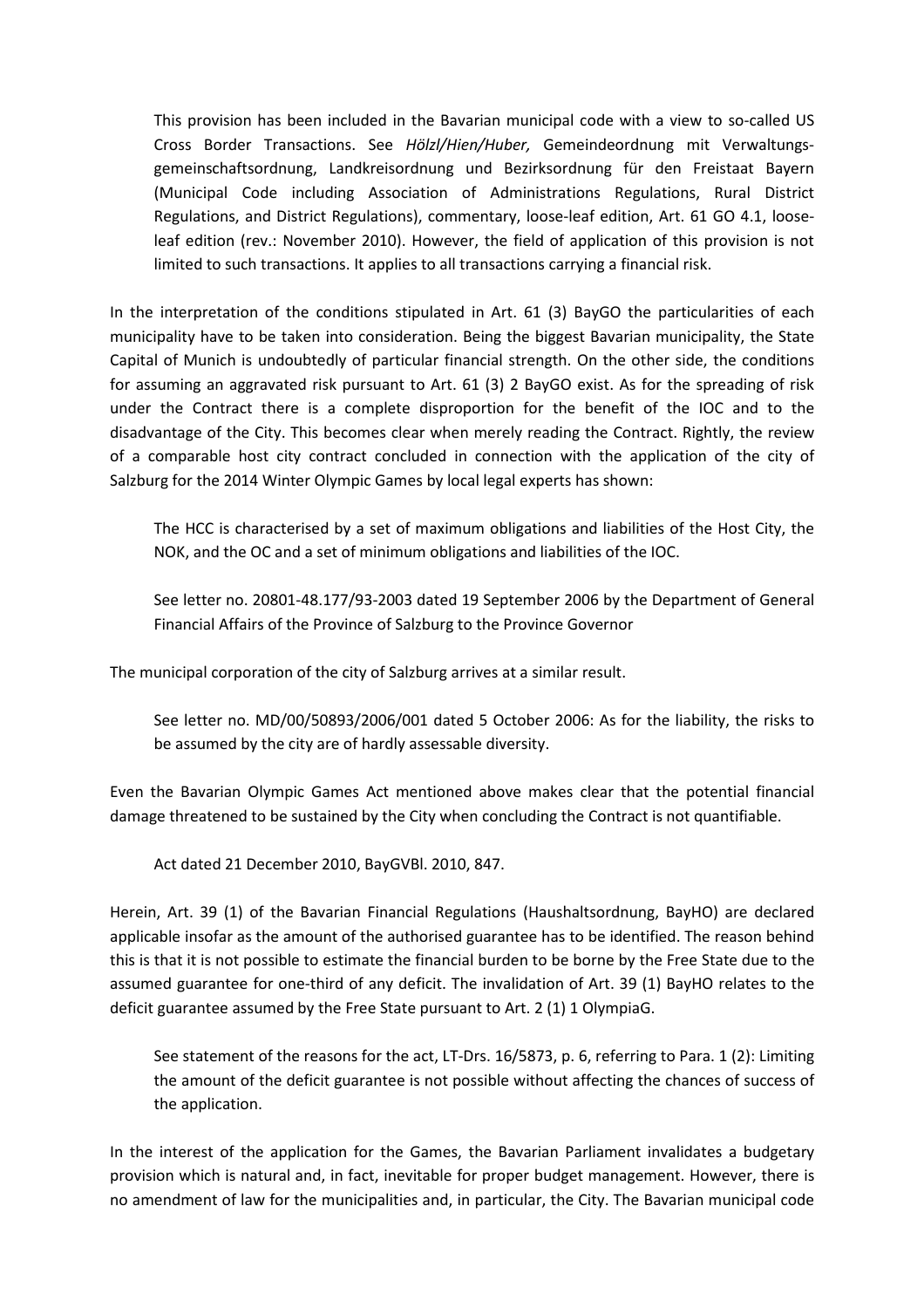This provision has been included in the Bavarian municipal code with a view to so-called US Cross Border Transactions. See *Hölzl/Hien/Huber,* Gemeindeordnung mit Verwaltungsgemeinschaftsordnung, Landkreisordnung und Bezirksordnung für den Freistaat Bayern (Municipal Code including Association of Administrations Regulations, Rural District Regulations, and District Regulations), commentary, loose-leaf edition, Art. 61 GO 4.1, looseleaf edition (rev.: November 2010). However, the field of application of this provision is not limited to such transactions. It applies to all transactions carrying a financial risk.

In the interpretation of the conditions stipulated in Art. 61 (3) BayGO the particularities of each municipality have to be taken into consideration. Being the biggest Bavarian municipality, the State Capital of Munich is undoubtedly of particular financial strength. On the other side, the conditions for assuming an aggravated risk pursuant to Art. 61 (3) 2 BayGO exist. As for the spreading of risk under the Contract there is a complete disproportion for the benefit of the IOC and to the disadvantage of the City. This becomes clear when merely reading the Contract. Rightly, the review of a comparable host city contract concluded in connection with the application of the city of Salzburg for the 2014 Winter Olympic Games by local legal experts has shown:

The HCC is characterised by a set of maximum obligations and liabilities of the Host City, the NOK, and the OC and a set of minimum obligations and liabilities of the IOC.

See letter no. 20801-48.177/93-2003 dated 19 September 2006 by the Department of General Financial Affairs of the Province of Salzburg to the Province Governor

The municipal corporation of the city of Salzburg arrives at a similar result.

See letter no. MD/00/50893/2006/001 dated 5 October 2006: As for the liability, the risks to be assumed by the city are of hardly assessable diversity.

Even the Bavarian Olympic Games Act mentioned above makes clear that the potential financial damage threatened to be sustained by the City when concluding the Contract is not quantifiable.

Act dated 21 December 2010, BayGVBl. 2010, 847.

Herein, Art. 39 (1) of the Bavarian Financial Regulations (Haushaltsordnung, BayHO) are declared applicable insofar as the amount of the authorised guarantee has to be identified. The reason behind this is that it is not possible to estimate the financial burden to be borne by the Free State due to the assumed guarantee for one-third of any deficit. The invalidation of Art. 39 (1) BayHO relates to the deficit guarantee assumed by the Free State pursuant to Art. 2 (1) 1 OlympiaG.

See statement of the reasons for the act, LT-Drs. 16/5873, p. 6, referring to Para. 1 (2): Limiting the amount of the deficit guarantee is not possible without affecting the chances of success of the application.

In the interest of the application for the Games, the Bavarian Parliament invalidates a budgetary provision which is natural and, in fact, inevitable for proper budget management. However, there is no amendment of law for the municipalities and, in particular, the City. The Bavarian municipal code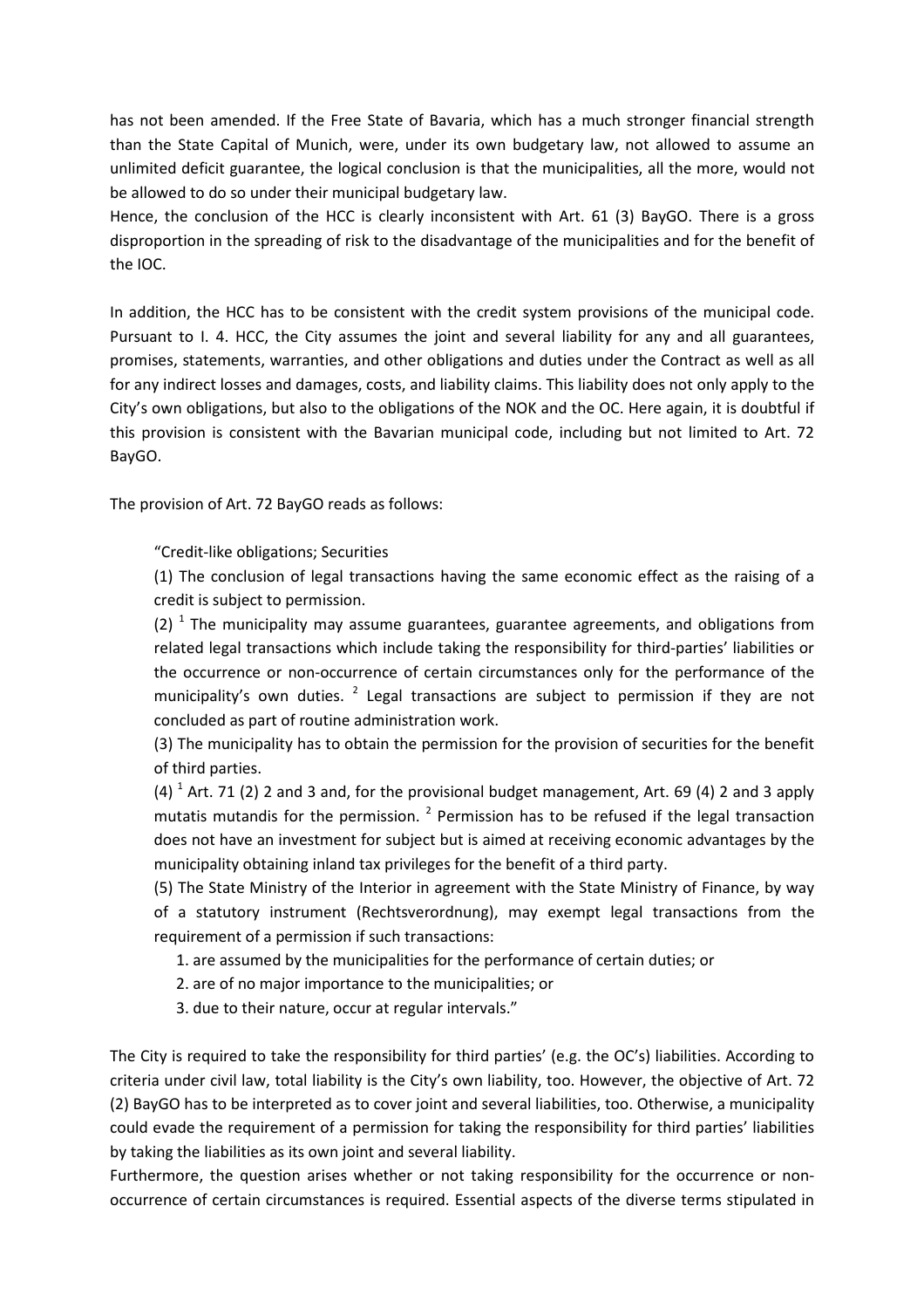has not been amended. If the Free State of Bavaria, which has a much stronger financial strength than the State Capital of Munich, were, under its own budgetary law, not allowed to assume an unlimited deficit guarantee, the logical conclusion is that the municipalities, all the more, would not be allowed to do so under their municipal budgetary law.

Hence, the conclusion of the HCC is clearly inconsistent with Art. 61 (3) BayGO. There is a gross disproportion in the spreading of risk to the disadvantage of the municipalities and for the benefit of the IOC.

In addition, the HCC has to be consistent with the credit system provisions of the municipal code. Pursuant to I. 4. HCC, the City assumes the joint and several liability for any and all guarantees, promises, statements, warranties, and other obligations and duties under the Contract as well as all for any indirect losses and damages, costs, and liability claims. This liability does not only apply to the City's own obligations, but also to the obligations of the NOK and the OC. Here again, it is doubtful if this provision is consistent with the Bavarian municipal code, including but not limited to Art. 72 BayGO.

The provision of Art. 72 BayGO reads as follows:

"Credit-like obligations; Securities

(1) The conclusion of legal transactions having the same economic effect as the raising of a credit is subject to permission.

(2)  $^1$  The municipality may assume guarantees, guarantee agreements, and obligations from related legal transactions which include taking the responsibility for third-parties' liabilities or the occurrence or non-occurrence of certain circumstances only for the performance of the municipality's own duties. <sup>2</sup> Legal transactions are subject to permission if they are not concluded as part of routine administration work.

(3) The municipality has to obtain the permission for the provision of securities for the benefit of third parties.

(4)  $^1$  Art. 71 (2) 2 and 3 and, for the provisional budget management, Art. 69 (4) 2 and 3 apply mutatis mutandis for the permission.  $2$  Permission has to be refused if the legal transaction does not have an investment for subject but is aimed at receiving economic advantages by the municipality obtaining inland tax privileges for the benefit of a third party.

(5) The State Ministry of the Interior in agreement with the State Ministry of Finance, by way of a statutory instrument (Rechtsverordnung), may exempt legal transactions from the requirement of a permission if such transactions:

1. are assumed by the municipalities for the performance of certain duties; or

2. are of no major importance to the municipalities; or

3. due to their nature, occur at regular intervals."

The City is required to take the responsibility for third parties' (e.g. the OC's) liabilities. According to criteria under civil law, total liability is the City's own liability, too. However, the objective of Art. 72 (2) BayGO has to be interpreted as to cover joint and several liabilities, too. Otherwise, a municipality could evade the requirement of a permission for taking the responsibility for third parties' liabilities by taking the liabilities as its own joint and several liability.

Furthermore, the question arises whether or not taking responsibility for the occurrence or nonoccurrence of certain circumstances is required. Essential aspects of the diverse terms stipulated in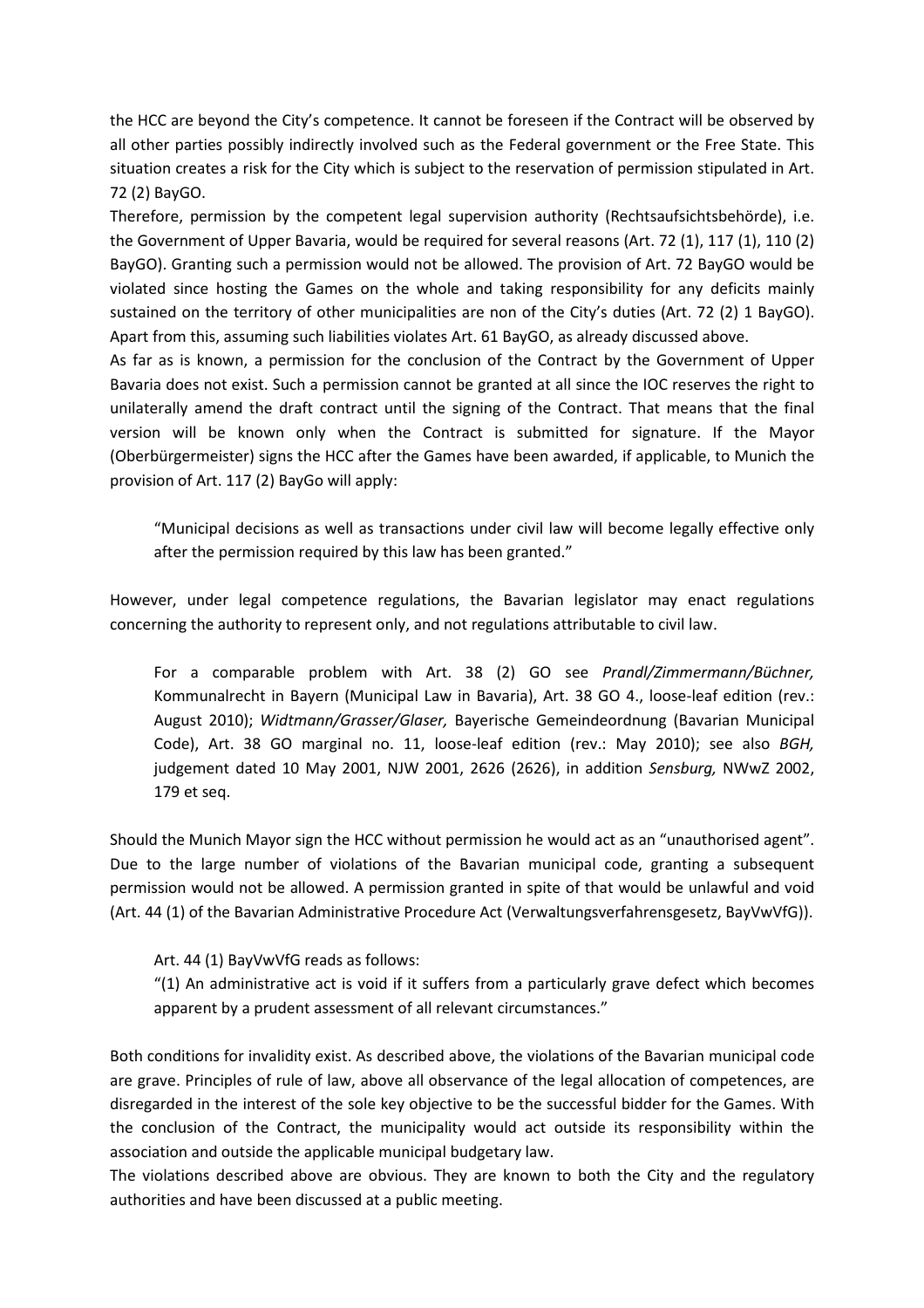the HCC are beyond the City's competence. It cannot be foreseen if the Contract will be observed by all other parties possibly indirectly involved such as the Federal government or the Free State. This situation creates a risk for the City which is subject to the reservation of permission stipulated in Art. 72 (2) BayGO.

Therefore, permission by the competent legal supervision authority (Rechtsaufsichtsbehörde), i.e. the Government of Upper Bavaria, would be required for several reasons (Art. 72 (1), 117 (1), 110 (2) BayGO). Granting such a permission would not be allowed. The provision of Art. 72 BayGO would be violated since hosting the Games on the whole and taking responsibility for any deficits mainly sustained on the territory of other municipalities are non of the City's duties (Art. 72 (2) 1 BayGO). Apart from this, assuming such liabilities violates Art. 61 BayGO, as already discussed above.

As far as is known, a permission for the conclusion of the Contract by the Government of Upper Bavaria does not exist. Such a permission cannot be granted at all since the IOC reserves the right to unilaterally amend the draft contract until the signing of the Contract. That means that the final version will be known only when the Contract is submitted for signature. If the Mayor (Oberbürgermeister) signs the HCC after the Games have been awarded, if applicable, to Munich the provision of Art. 117 (2) BayGo will apply:

"Municipal decisions as well as transactions under civil law will become legally effective only after the permission required by this law has been granted."

However, under legal competence regulations, the Bavarian legislator may enact regulations concerning the authority to represent only, and not regulations attributable to civil law.

For a comparable problem with Art. 38 (2) GO see *Prandl/Zimmermann/Büchner,* Kommunalrecht in Bayern (Municipal Law in Bavaria), Art. 38 GO 4., loose-leaf edition (rev.: August 2010); *Widtmann/Grasser/Glaser,* Bayerische Gemeindeordnung (Bavarian Municipal Code), Art. 38 GO marginal no. 11, loose-leaf edition (rev.: May 2010); see also *BGH,* judgement dated 10 May 2001, NJW 2001, 2626 (2626), in addition *Sensburg,* NWwZ 2002, 179 et seq.

Should the Munich Mayor sign the HCC without permission he would act as an "unauthorised agent". Due to the large number of violations of the Bavarian municipal code, granting a subsequent permission would not be allowed. A permission granted in spite of that would be unlawful and void (Art. 44 (1) of the Bavarian Administrative Procedure Act (Verwaltungsverfahrensgesetz, BayVwVfG)).

Art. 44 (1) BayVwVfG reads as follows:

"(1) An administrative act is void if it suffers from a particularly grave defect which becomes apparent by a prudent assessment of all relevant circumstances."

Both conditions for invalidity exist. As described above, the violations of the Bavarian municipal code are grave. Principles of rule of law, above all observance of the legal allocation of competences, are disregarded in the interest of the sole key objective to be the successful bidder for the Games. With the conclusion of the Contract, the municipality would act outside its responsibility within the association and outside the applicable municipal budgetary law.

The violations described above are obvious. They are known to both the City and the regulatory authorities and have been discussed at a public meeting.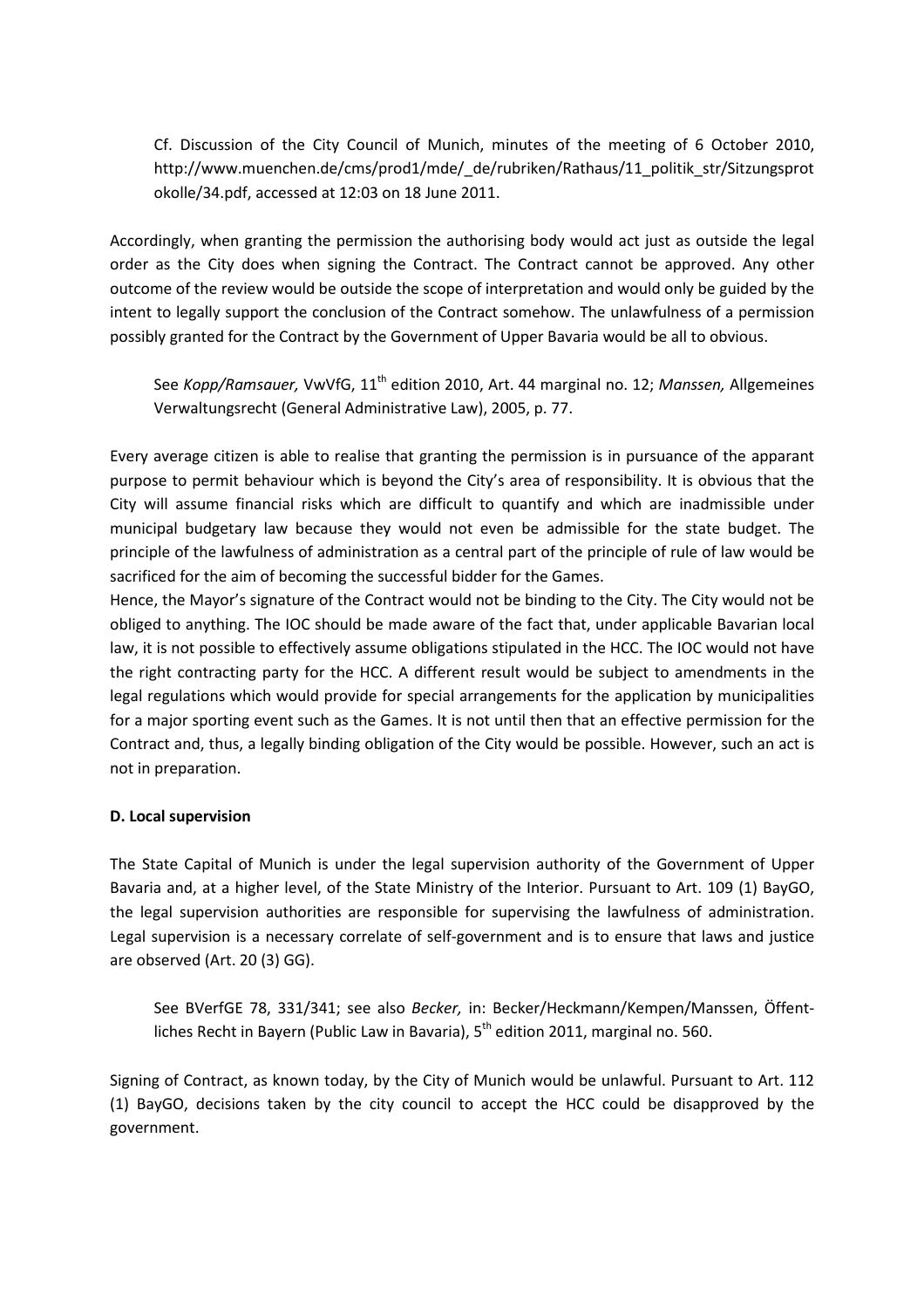Cf. Discussion of the City Council of Munich, minutes of the meeting of 6 October 2010, http://www.muenchen.de/cms/prod1/mde/\_de/rubriken/Rathaus/11\_politik\_str/Sitzungsprot okolle/34.pdf, accessed at 12:03 on 18 June 2011.

Accordingly, when granting the permission the authorising body would act just as outside the legal order as the City does when signing the Contract. The Contract cannot be approved. Any other outcome of the review would be outside the scope of interpretation and would only be guided by the intent to legally support the conclusion of the Contract somehow. The unlawfulness of a permission possibly granted for the Contract by the Government of Upper Bavaria would be all to obvious.

See *Kopp/Ramsauer*, VwVfG, 11<sup>th</sup> edition 2010, Art. 44 marginal no. 12; *Manssen*, Allgemeines Verwaltungsrecht (General Administrative Law), 2005, p. 77.

Every average citizen is able to realise that granting the permission is in pursuance of the apparant purpose to permit behaviour which is beyond the City's area of responsibility. It is obvious that the City will assume financial risks which are difficult to quantify and which are inadmissible under municipal budgetary law because they would not even be admissible for the state budget. The principle of the lawfulness of administration as a central part of the principle of rule of law would be sacrificed for the aim of becoming the successful bidder for the Games.

Hence, the Mayor's signature of the Contract would not be binding to the City. The City would not be obliged to anything. The IOC should be made aware of the fact that, under applicable Bavarian local law, it is not possible to effectively assume obligations stipulated in the HCC. The IOC would not have the right contracting party for the HCC. A different result would be subject to amendments in the legal regulations which would provide for special arrangements for the application by municipalities for a major sporting event such as the Games. It is not until then that an effective permission for the Contract and, thus, a legally binding obligation of the City would be possible. However, such an act is not in preparation.

#### **D. Local supervision**

The State Capital of Munich is under the legal supervision authority of the Government of Upper Bavaria and, at a higher level, of the State Ministry of the Interior. Pursuant to Art. 109 (1) BayGO, the legal supervision authorities are responsible for supervising the lawfulness of administration. Legal supervision is a necessary correlate of self-government and is to ensure that laws and justice are observed (Art. 20 (3) GG).

See BVerfGE 78, 331/341; see also *Becker,* in: Becker/Heckmann/Kempen/Manssen, Öffentliches Recht in Bayern (Public Law in Bavaria),  $5<sup>th</sup>$  edition 2011, marginal no. 560.

Signing of Contract, as known today, by the City of Munich would be unlawful. Pursuant to Art. 112 (1) BayGO, decisions taken by the city council to accept the HCC could be disapproved by the government.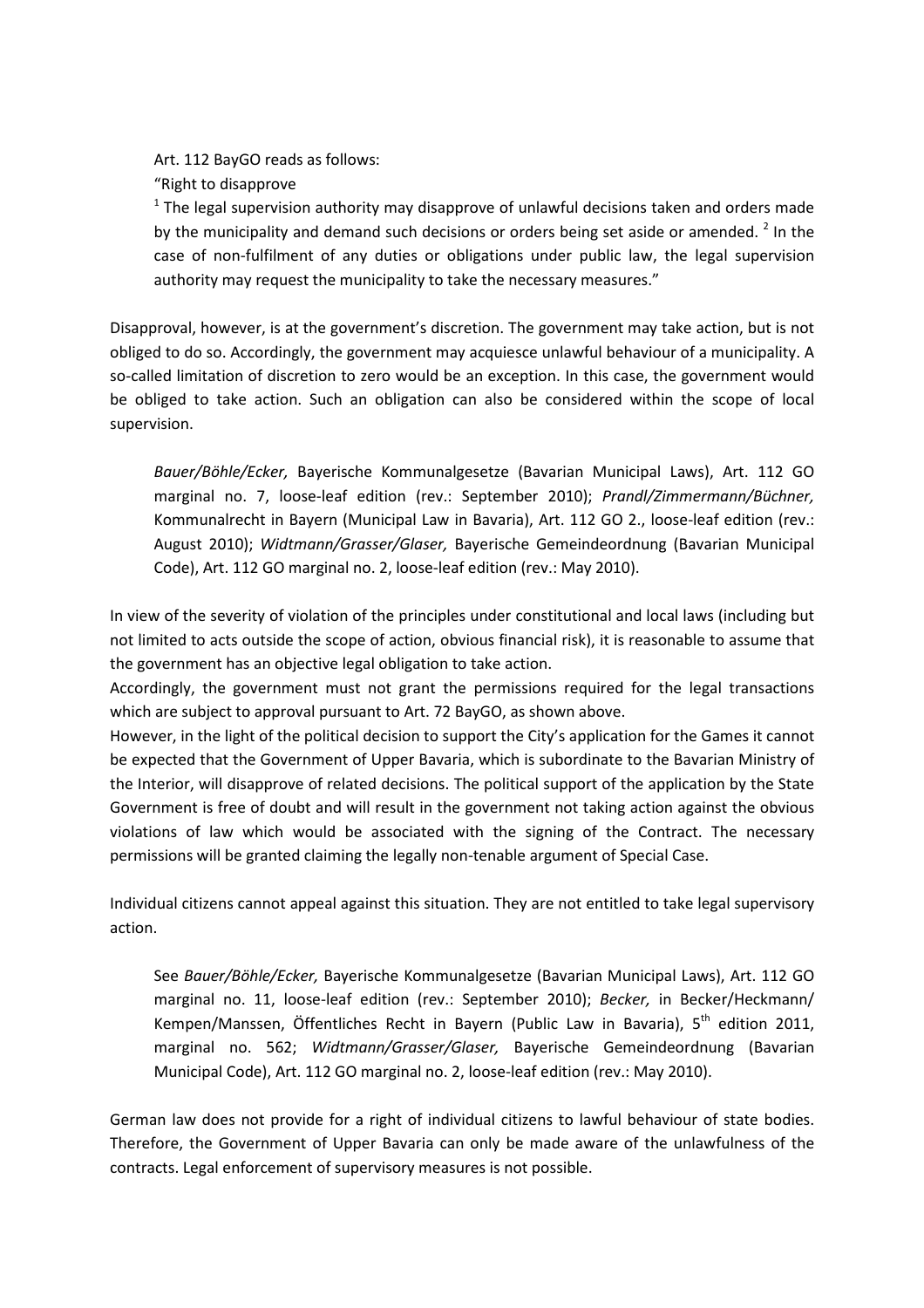Art. 112 BayGO reads as follows:

"Right to disapprove

 $1$  The legal supervision authority may disapprove of unlawful decisions taken and orders made by the municipality and demand such decisions or orders being set aside or amended.  $^2$  In the case of non-fulfilment of any duties or obligations under public law, the legal supervision authority may request the municipality to take the necessary measures."

Disapproval, however, is at the government's discretion. The government may take action, but is not obliged to do so. Accordingly, the government may acquiesce unlawful behaviour of a municipality. A so-called limitation of discretion to zero would be an exception. In this case, the government would be obliged to take action. Such an obligation can also be considered within the scope of local supervision.

*Bauer/Böhle/Ecker,* Bayerische Kommunalgesetze (Bavarian Municipal Laws), Art. 112 GO marginal no. 7, loose-leaf edition (rev.: September 2010); *Prandl/Zimmermann/Büchner,* Kommunalrecht in Bayern (Municipal Law in Bavaria), Art. 112 GO 2., loose-leaf edition (rev.: August 2010); *Widtmann/Grasser/Glaser,* Bayerische Gemeindeordnung (Bavarian Municipal Code), Art. 112 GO marginal no. 2, loose-leaf edition (rev.: May 2010).

In view of the severity of violation of the principles under constitutional and local laws (including but not limited to acts outside the scope of action, obvious financial risk), it is reasonable to assume that the government has an objective legal obligation to take action.

Accordingly, the government must not grant the permissions required for the legal transactions which are subject to approval pursuant to Art. 72 BayGO, as shown above.

However, in the light of the political decision to support the City's application for the Games it cannot be expected that the Government of Upper Bavaria, which is subordinate to the Bavarian Ministry of the Interior, will disapprove of related decisions. The political support of the application by the State Government is free of doubt and will result in the government not taking action against the obvious violations of law which would be associated with the signing of the Contract. The necessary permissions will be granted claiming the legally non-tenable argument of Special Case.

Individual citizens cannot appeal against this situation. They are not entitled to take legal supervisory action.

See *Bauer/Böhle/Ecker,* Bayerische Kommunalgesetze (Bavarian Municipal Laws), Art. 112 GO marginal no. 11, loose-leaf edition (rev.: September 2010); *Becker,* in Becker/Heckmann/ Kempen/Manssen, Öffentliches Recht in Bayern (Public Law in Bavaria),  $5<sup>th</sup>$  edition 2011, marginal no. 562; *Widtmann/Grasser/Glaser,* Bayerische Gemeindeordnung (Bavarian Municipal Code), Art. 112 GO marginal no. 2, loose-leaf edition (rev.: May 2010).

German law does not provide for a right of individual citizens to lawful behaviour of state bodies. Therefore, the Government of Upper Bavaria can only be made aware of the unlawfulness of the contracts. Legal enforcement of supervisory measures is not possible.